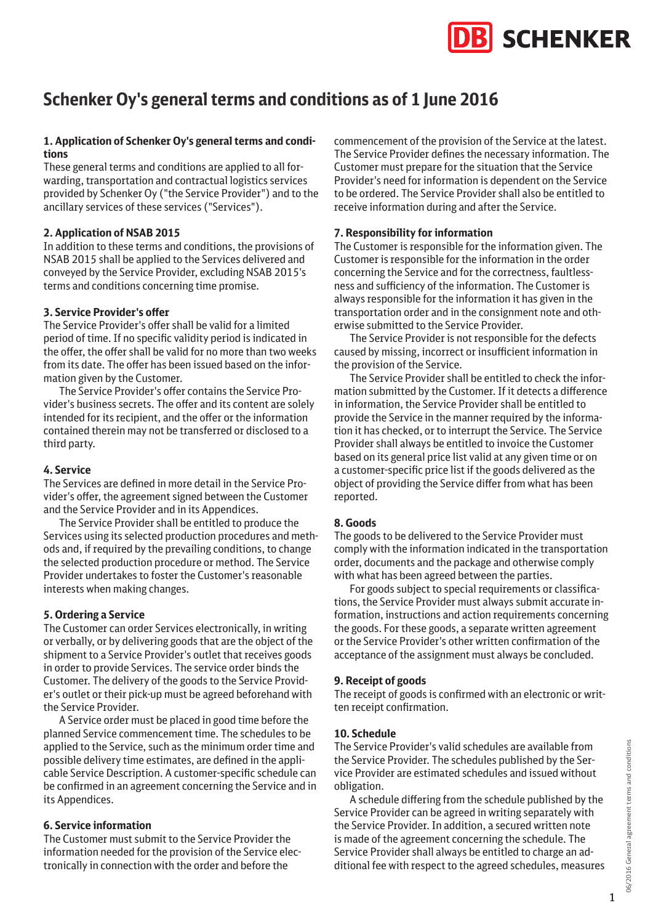# **SCHENKER**

# **Schenker Oy's general terms and conditions as of 1 June 2016**

#### **1. Application of Schenker Oy's general terms and conditions**

These general terms and conditions are applied to all forwarding, transportation and contractual logistics services provided by Schenker Oy ("the Service Provider") and to the ancillary services of these services ("Services").

#### **2. Application of NSAB 2015**

In addition to these terms and conditions, the provisions of NSAB 2015 shall be applied to the Services delivered and conveyed by the Service Provider, excluding NSAB 2015's terms and conditions concerning time promise.

#### **3. Service Provider's offer**

The Service Provider's offer shall be valid for a limited period of time. If no specific validity period is indicated in the offer, the offer shall be valid for no more than two weeks from its date. The offer has been issued based on the information given by the Customer.

The Service Provider's offer contains the Service Provider's business secrets. The offer and its content are solely intended for its recipient, and the offer or the information contained therein may not be transferred or disclosed to a third party.

#### **4. Service**

The Services are defined in more detail in the Service Provider's offer, the agreement signed between the Customer and the Service Provider and in its Appendices.

The Service Provider shall be entitled to produce the Services using its selected production procedures and methods and, if required by the prevailing conditions, to change the selected production procedure or method. The Service Provider undertakes to foster the Customer's reasonable interests when making changes.

#### **5. Ordering a Service**

The Customer can order Services electronically, in writing or verbally, or by delivering goods that are the object of the shipment to a Service Provider's outlet that receives goods in order to provide Services. The service order binds the Customer. The delivery of the goods to the Service Provider's outlet or their pick-up must be agreed beforehand with the Service Provider.

A Service order must be placed in good time before the planned Service commencement time. The schedules to be applied to the Service, such as the minimum order time and possible delivery time estimates, are defined in the applicable Service Description. A customer-specific schedule can be confirmed in an agreement concerning the Service and in its Appendices.

#### **6. Service information**

The Customer must submit to the Service Provider the information needed for the provision of the Service electronically in connection with the order and before the

commencement of the provision of the Service at the latest. The Service Provider defines the necessary information. The Customer must prepare for the situation that the Service Provider's need for information is dependent on the Service to be ordered. The Service Provider shall also be entitled to receive information during and after the Service.

#### **7. Responsibility for information**

The Customer is responsible for the information given. The Customer is responsible for the information in the order concerning the Service and for the correctness, faultlessness and sufficiency of the information. The Customer is always responsible for the information it has given in the transportation order and in the consignment note and otherwise submitted to the Service Provider.

The Service Provider is not responsible for the defects caused by missing, incorrect or insufficient information in the provision of the Service.

The Service Provider shall be entitled to check the information submitted by the Customer. If it detects a difference in information, the Service Provider shall be entitled to provide the Service in the manner required by the information it has checked, or to interrupt the Service. The Service Provider shall always be entitled to invoice the Customer based on its general price list valid at any given time or on a customer-specific price list if the goods delivered as the object of providing the Service differ from what has been reported.

#### **8. Goods**

The goods to be delivered to the Service Provider must comply with the information indicated in the transportation order, documents and the package and otherwise comply with what has been agreed between the parties.

For goods subject to special requirements or classifications, the Service Provider must always submit accurate information, instructions and action requirements concerning the goods. For these goods, a separate written agreement or the Service Provider's other written confirmation of the acceptance of the assignment must always be concluded.

#### **9. Receipt of goods**

The receipt of goods is confirmed with an electronic or written receipt confirmation.

#### **10. Schedule**

The Service Provider's valid schedules are available from the Service Provider. The schedules published by the Service Provider are estimated schedules and issued without obligation.

A schedule differing from the schedule published by the Service Provider can be agreed in writing separately with the Service Provider. In addition, a secured written note is made of the agreement concerning the schedule. The Service Provider shall always be entitled to charge an additional fee with respect to the agreed schedules, measures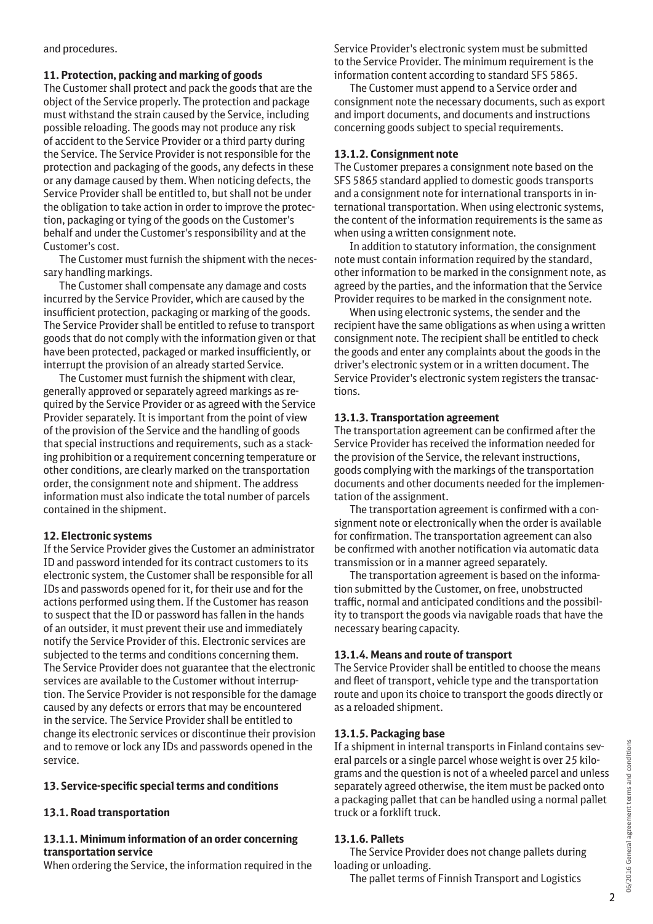and procedures.

# **11. Protection, packing and marking of goods**

The Customer shall protect and pack the goods that are the object of the Service properly. The protection and package must withstand the strain caused by the Service, including possible reloading. The goods may not produce any risk of accident to the Service Provider or a third party during the Service. The Service Provider is not responsible for the protection and packaging of the goods, any defects in these or any damage caused by them. When noticing defects, the Service Provider shall be entitled to, but shall not be under the obligation to take action in order to improve the protection, packaging or tying of the goods on the Customer's behalf and under the Customer's responsibility and at the Customer's cost.

The Customer must furnish the shipment with the necessary handling markings.

The Customer shall compensate any damage and costs incurred by the Service Provider, which are caused by the insufficient protection, packaging or marking of the goods. The Service Provider shall be entitled to refuse to transport goods that do not comply with the information given or that have been protected, packaged or marked insufficiently, or interrupt the provision of an already started Service.

The Customer must furnish the shipment with clear, generally approved or separately agreed markings as required by the Service Provider or as agreed with the Service Provider separately. It is important from the point of view of the provision of the Service and the handling of goods that special instructions and requirements, such as a stacking prohibition or a requirement concerning temperature or other conditions, are clearly marked on the transportation order, the consignment note and shipment. The address information must also indicate the total number of parcels contained in the shipment.

# **12. Electronic systems**

If the Service Provider gives the Customer an administrator ID and password intended for its contract customers to its electronic system, the Customer shall be responsible for all IDs and passwords opened for it, for their use and for the actions performed using them. If the Customer has reason to suspect that the ID or password has fallen in the hands of an outsider, it must prevent their use and immediately notify the Service Provider of this. Electronic services are subjected to the terms and conditions concerning them. The Service Provider does not guarantee that the electronic services are available to the Customer without interruption. The Service Provider is not responsible for the damage caused by any defects or errors that may be encountered in the service. The Service Provider shall be entitled to change its electronic services or discontinue their provision and to remove or lock any IDs and passwords opened in the service.

# **13. Service-specific special terms and conditions**

# **13.1. Road transportation**

# **13.1.1. Minimum information of an order concerning transportation service**

When ordering the Service, the information required in the

Service Provider's electronic system must be submitted to the Service Provider. The minimum requirement is the information content according to standard SFS 5865.

The Customer must append to a Service order and consignment note the necessary documents, such as export and import documents, and documents and instructions concerning goods subject to special requirements.

#### **13.1.2. Consignment note**

The Customer prepares a consignment note based on the SFS 5865 standard applied to domestic goods transports and a consignment note for international transports in international transportation. When using electronic systems, the content of the information requirements is the same as when using a written consignment note.

In addition to statutory information, the consignment note must contain information required by the standard, other information to be marked in the consignment note, as agreed by the parties, and the information that the Service Provider requires to be marked in the consignment note.

When using electronic systems, the sender and the recipient have the same obligations as when using a written consignment note. The recipient shall be entitled to check the goods and enter any complaints about the goods in the driver's electronic system or in a written document. The Service Provider's electronic system registers the transactions.

# **13.1.3. Transportation agreement**

The transportation agreement can be confirmed after the Service Provider has received the information needed for the provision of the Service, the relevant instructions, goods complying with the markings of the transportation documents and other documents needed for the implementation of the assignment.

The transportation agreement is confirmed with a consignment note or electronically when the order is available for confirmation. The transportation agreement can also be confirmed with another notification via automatic data transmission or in a manner agreed separately.

The transportation agreement is based on the information submitted by the Customer, on free, unobstructed traffic, normal and anticipated conditions and the possibility to transport the goods via navigable roads that have the necessary bearing capacity.

# **13.1.4. Means and route of transport**

The Service Provider shall be entitled to choose the means and fleet of transport, vehicle type and the transportation route and upon its choice to transport the goods directly or as a reloaded shipment.

# **13.1.5. Packaging base**

If a shipment in internal transports in Finland contains several parcels or a single parcel whose weight is over 25 kilograms and the question is not of a wheeled parcel and unless separately agreed otherwise, the item must be packed onto a packaging pallet that can be handled using a normal pallet truck or a forklift truck.

# **13.1.6. Pallets**

The Service Provider does not change pallets during loading or unloading.

The pallet terms of Finnish Transport and Logistics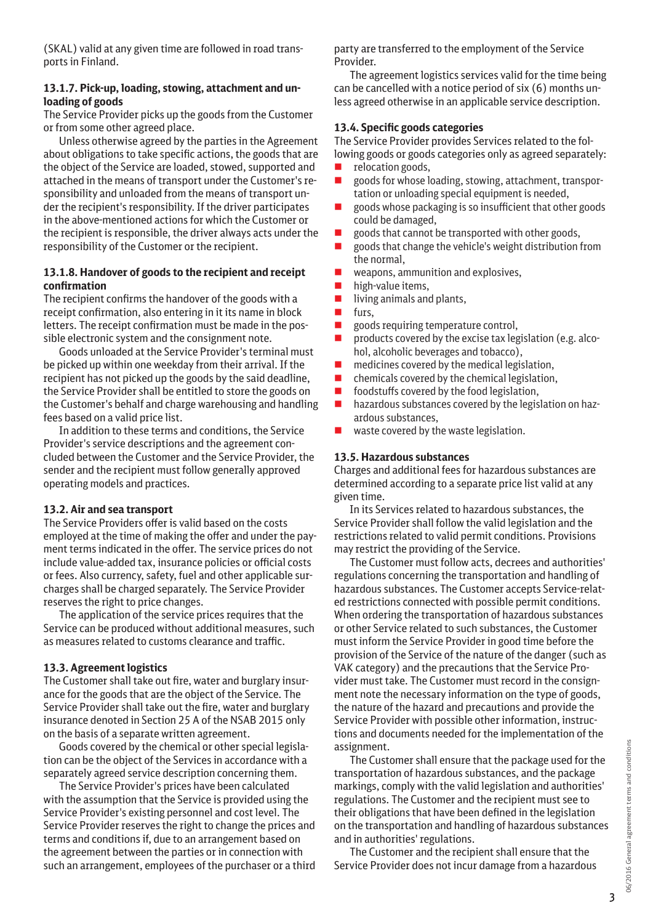(SKAL) valid at any given time are followed in road transports in Finland.

#### **13.1.7. Pick-up, loading, stowing, attachment and unloading of goods**

The Service Provider picks up the goods from the Customer or from some other agreed place.

Unless otherwise agreed by the parties in the Agreement about obligations to take specific actions, the goods that are the object of the Service are loaded, stowed, supported and attached in the means of transport under the Customer's responsibility and unloaded from the means of transport under the recipient's responsibility. If the driver participates in the above-mentioned actions for which the Customer or the recipient is responsible, the driver always acts under the responsibility of the Customer or the recipient.

#### **13.1.8. Handover of goods to the recipient and receipt confirmation**

The recipient confirms the handover of the goods with a receipt confirmation, also entering in it its name in block letters. The receipt confirmation must be made in the possible electronic system and the consignment note.

Goods unloaded at the Service Provider's terminal must be picked up within one weekday from their arrival. If the recipient has not picked up the goods by the said deadline, the Service Provider shall be entitled to store the goods on the Customer's behalf and charge warehousing and handling fees based on a valid price list.

In addition to these terms and conditions, the Service Provider's service descriptions and the agreement concluded between the Customer and the Service Provider, the sender and the recipient must follow generally approved operating models and practices.

#### **13.2. Air and sea transport**

The Service Providers offer is valid based on the costs employed at the time of making the offer and under the payment terms indicated in the offer. The service prices do not include value-added tax, insurance policies or official costs or fees. Also currency, safety, fuel and other applicable surcharges shall be charged separately. The Service Provider reserves the right to price changes.

The application of the service prices requires that the Service can be produced without additional measures, such as measures related to customs clearance and traffic.

# **13.3. Agreement logistics**

The Customer shall take out fire, water and burglary insurance for the goods that are the object of the Service. The Service Provider shall take out the fire, water and burglary insurance denoted in Section 25 A of the NSAB 2015 only on the basis of a separate written agreement.

Goods covered by the chemical or other special legislation can be the object of the Services in accordance with a separately agreed service description concerning them.

The Service Provider's prices have been calculated with the assumption that the Service is provided using the Service Provider's existing personnel and cost level. The Service Provider reserves the right to change the prices and terms and conditions if, due to an arrangement based on the agreement between the parties or in connection with such an arrangement, employees of the purchaser or a third

party are transferred to the employment of the Service Provider.

The agreement logistics services valid for the time being can be cancelled with a notice period of six (6) months unless agreed otherwise in an applicable service description.

# **13.4. Specific goods categories**

The Service Provider provides Services related to the following goods or goods categories only as agreed separately:

- $\blacksquare$  relocation goods,
- goods for whose loading, stowing, attachment, transportation or unloading special equipment is needed,
- � goods whose packaging is so insufficient that other goods could be damaged,
- $\Box$  goods that cannot be transported with other goods,
- � goods that change the vehicle's weight distribution from the normal,
- $\blacksquare$  weapons, ammunition and explosives,
- $\blacksquare$  high-value items,
- $\blacksquare$  living animals and plants,
- **u** furs,
- goods requiring temperature control,
- � products covered by the excise tax legislation (e.g. alcohol, alcoholic beverages and tobacco),
- $\blacksquare$  medicines covered by the medical legislation,
- $\blacksquare$  chemicals covered by the chemical legislation,
- $\blacksquare$  foodstuffs covered by the food legislation,
- $\blacksquare$  hazardous substances covered by the legislation on hazardous substances,
- $\blacksquare$  waste covered by the waste legislation.

#### **13.5. Hazardous substances**

Charges and additional fees for hazardous substances are determined according to a separate price list valid at any given time.

In its Services related to hazardous substances, the Service Provider shall follow the valid legislation and the restrictions related to valid permit conditions. Provisions may restrict the providing of the Service.

The Customer must follow acts, decrees and authorities' regulations concerning the transportation and handling of hazardous substances. The Customer accepts Service-related restrictions connected with possible permit conditions. When ordering the transportation of hazardous substances or other Service related to such substances, the Customer must inform the Service Provider in good time before the provision of the Service of the nature of the danger (such as VAK category) and the precautions that the Service Provider must take. The Customer must record in the consignment note the necessary information on the type of goods, the nature of the hazard and precautions and provide the Service Provider with possible other information, instructions and documents needed for the implementation of the assignment.

The Customer shall ensure that the package used for the transportation of hazardous substances, and the package markings, comply with the valid legislation and authorities' regulations. The Customer and the recipient must see to their obligations that have been defined in the legislation on the transportation and handling of hazardous substances and in authorities' regulations.

The Customer and the recipient shall ensure that the Service Provider does not incur damage from a hazardous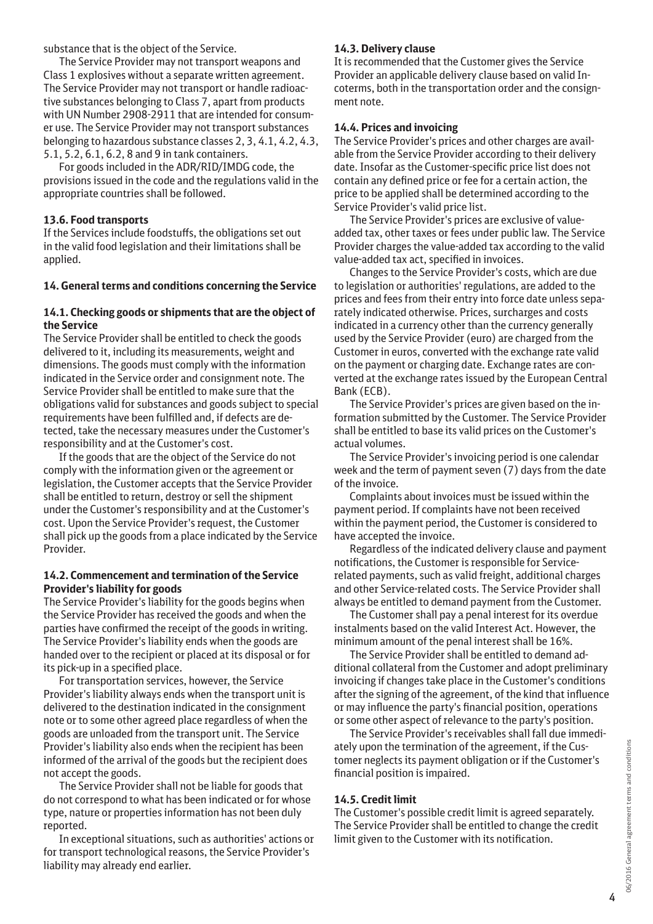substance that is the object of the Service.

The Service Provider may not transport weapons and Class 1 explosives without a separate written agreement. The Service Provider may not transport or handle radioactive substances belonging to Class 7, apart from products with UN Number 2908-2911 that are intended for consumer use. The Service Provider may not transport substances belonging to hazardous substance classes 2, 3, 4.1, 4.2, 4.3, 5.1, 5.2, 6.1, 6.2, 8 and 9 in tank containers.

For goods included in the ADR/RID/IMDG code, the provisions issued in the code and the regulations valid in the appropriate countries shall be followed.

# **13.6. Food transports**

If the Services include foodstuffs, the obligations set out in the valid food legislation and their limitations shall be applied.

# **14. General terms and conditions concerning the Service**

#### **14.1. Checking goods or shipments that are the object of the Service**

The Service Provider shall be entitled to check the goods delivered to it, including its measurements, weight and dimensions. The goods must comply with the information indicated in the Service order and consignment note. The Service Provider shall be entitled to make sure that the obligations valid for substances and goods subject to special requirements have been fulfilled and, if defects are detected, take the necessary measures under the Customer's responsibility and at the Customer's cost.

If the goods that are the object of the Service do not comply with the information given or the agreement or legislation, the Customer accepts that the Service Provider shall be entitled to return, destroy or sell the shipment under the Customer's responsibility and at the Customer's cost. Upon the Service Provider's request, the Customer shall pick up the goods from a place indicated by the Service Provider.

#### **14.2. Commencement and termination of the Service Provider's liability for goods**

The Service Provider's liability for the goods begins when the Service Provider has received the goods and when the parties have confirmed the receipt of the goods in writing. The Service Provider's liability ends when the goods are handed over to the recipient or placed at its disposal or for its pick-up in a specified place.

For transportation services, however, the Service Provider's liability always ends when the transport unit is delivered to the destination indicated in the consignment note or to some other agreed place regardless of when the goods are unloaded from the transport unit. The Service Provider's liability also ends when the recipient has been informed of the arrival of the goods but the recipient does not accept the goods.

The Service Provider shall not be liable for goods that do not correspond to what has been indicated or for whose type, nature or properties information has not been duly reported.

In exceptional situations, such as authorities' actions or for transport technological reasons, the Service Provider's liability may already end earlier.

# **14.3. Delivery clause**

It is recommended that the Customer gives the Service Provider an applicable delivery clause based on valid Incoterms, both in the transportation order and the consignment note.

#### **14.4. Prices and invoicing**

The Service Provider's prices and other charges are available from the Service Provider according to their delivery date. Insofar as the Customer-specific price list does not contain any defined price or fee for a certain action, the price to be applied shall be determined according to the Service Provider's valid price list.

The Service Provider's prices are exclusive of valueadded tax, other taxes or fees under public law. The Service Provider charges the value-added tax according to the valid value-added tax act, specified in invoices.

Changes to the Service Provider's costs, which are due to legislation or authorities' regulations, are added to the prices and fees from their entry into force date unless separately indicated otherwise. Prices, surcharges and costs indicated in a currency other than the currency generally used by the Service Provider (euro) are charged from the Customer in euros, converted with the exchange rate valid on the payment or charging date. Exchange rates are converted at the exchange rates issued by the European Central Bank (ECB).

The Service Provider's prices are given based on the information submitted by the Customer. The Service Provider shall be entitled to base its valid prices on the Customer's actual volumes.

The Service Provider's invoicing period is one calendar week and the term of payment seven (7) days from the date of the invoice.

Complaints about invoices must be issued within the payment period. If complaints have not been received within the payment period, the Customer is considered to have accepted the invoice.

Regardless of the indicated delivery clause and payment notifications, the Customer is responsible for Servicerelated payments, such as valid freight, additional charges and other Service-related costs. The Service Provider shall always be entitled to demand payment from the Customer.

The Customer shall pay a penal interest for its overdue instalments based on the valid Interest Act. However, the minimum amount of the penal interest shall be 16%.

The Service Provider shall be entitled to demand additional collateral from the Customer and adopt preliminary invoicing if changes take place in the Customer's conditions after the signing of the agreement, of the kind that influence or may influence the party's financial position, operations or some other aspect of relevance to the party's position.

The Service Provider's receivables shall fall due immediately upon the termination of the agreement, if the Customer neglects its payment obligation or if the Customer's financial position is impaired.

# **14.5. Credit limit**

The Customer's possible credit limit is agreed separately. The Service Provider shall be entitled to change the credit limit given to the Customer with its notification.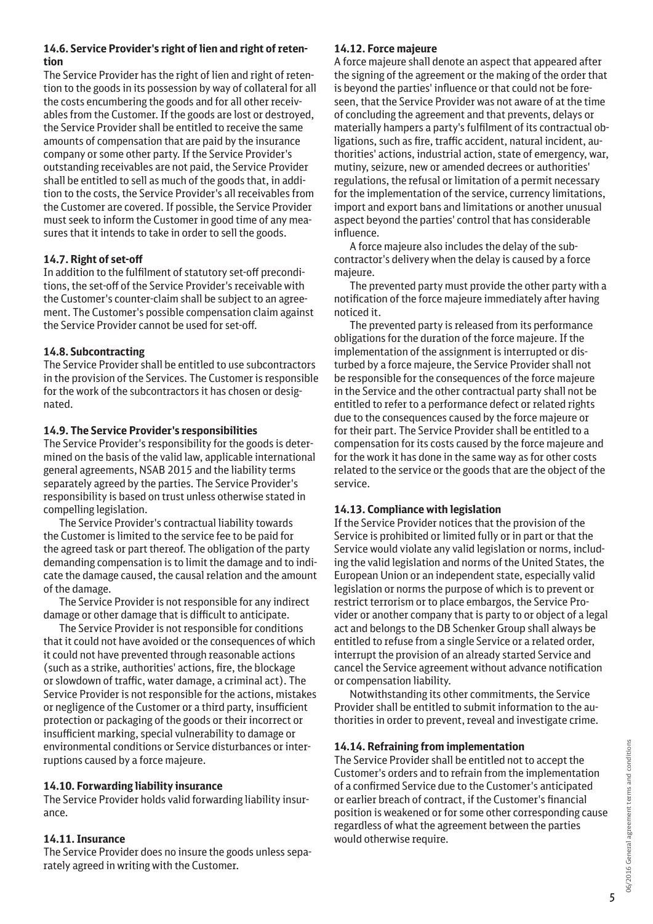# **14.6. Service Provider's right of lien and right of retention**

The Service Provider has the right of lien and right of retention to the goods in its possession by way of collateral for all the costs encumbering the goods and for all other receivables from the Customer. If the goods are lost or destroyed, the Service Provider shall be entitled to receive the same amounts of compensation that are paid by the insurance company or some other party. If the Service Provider's outstanding receivables are not paid, the Service Provider shall be entitled to sell as much of the goods that, in addition to the costs, the Service Provider's all receivables from the Customer are covered. If possible, the Service Provider must seek to inform the Customer in good time of any measures that it intends to take in order to sell the goods.

# **14.7. Right of set-off**

In addition to the fulfilment of statutory set-off preconditions, the set-off of the Service Provider's receivable with the Customer's counter-claim shall be subject to an agreement. The Customer's possible compensation claim against the Service Provider cannot be used for set-off.

# **14.8. Subcontracting**

The Service Provider shall be entitled to use subcontractors in the provision of the Services. The Customer is responsible for the work of the subcontractors it has chosen or designated.

# **14.9. The Service Provider's responsibilities**

The Service Provider's responsibility for the goods is determined on the basis of the valid law, applicable international general agreements, NSAB 2015 and the liability terms separately agreed by the parties. The Service Provider's responsibility is based on trust unless otherwise stated in compelling legislation.

The Service Provider's contractual liability towards the Customer is limited to the service fee to be paid for the agreed task or part thereof. The obligation of the party demanding compensation is to limit the damage and to indicate the damage caused, the causal relation and the amount of the damage.

The Service Provider is not responsible for any indirect damage or other damage that is difficult to anticipate.

The Service Provider is not responsible for conditions that it could not have avoided or the consequences of which it could not have prevented through reasonable actions (such as a strike, authorities' actions, fire, the blockage or slowdown of traffic, water damage, a criminal act). The Service Provider is not responsible for the actions, mistakes or negligence of the Customer or a third party, insufficient protection or packaging of the goods or their incorrect or insufficient marking, special vulnerability to damage or environmental conditions or Service disturbances or interruptions caused by a force majeure.

# **14.10. Forwarding liability insurance**

The Service Provider holds valid forwarding liability insurance.

# **14.11. Insurance**

The Service Provider does no insure the goods unless separately agreed in writing with the Customer.

# **14.12. Force majeure**

A force majeure shall denote an aspect that appeared after the signing of the agreement or the making of the order that is beyond the parties' influence or that could not be foreseen, that the Service Provider was not aware of at the time of concluding the agreement and that prevents, delays or materially hampers a party's fulfilment of its contractual obligations, such as fire, traffic accident, natural incident, authorities' actions, industrial action, state of emergency, war, mutiny, seizure, new or amended decrees or authorities' regulations, the refusal or limitation of a permit necessary for the implementation of the service, currency limitations, import and export bans and limitations or another unusual aspect beyond the parties' control that has considerable influence.

A force majeure also includes the delay of the subcontractor's delivery when the delay is caused by a force majeure.

The prevented party must provide the other party with a notification of the force majeure immediately after having noticed it.

The prevented party is released from its performance obligations for the duration of the force majeure. If the implementation of the assignment is interrupted or disturbed by a force majeure, the Service Provider shall not be responsible for the consequences of the force majeure in the Service and the other contractual party shall not be entitled to refer to a performance defect or related rights due to the consequences caused by the force majeure or for their part. The Service Provider shall be entitled to a compensation for its costs caused by the force majeure and for the work it has done in the same way as for other costs related to the service or the goods that are the object of the service.

# **14.13. Compliance with legislation**

If the Service Provider notices that the provision of the Service is prohibited or limited fully or in part or that the Service would violate any valid legislation or norms, including the valid legislation and norms of the United States, the European Union or an independent state, especially valid legislation or norms the purpose of which is to prevent or restrict terrorism or to place embargos, the Service Provider or another company that is party to or object of a legal act and belongs to the DB Schenker Group shall always be entitled to refuse from a single Service or a related order, interrupt the provision of an already started Service and cancel the Service agreement without advance notification or compensation liability.

Notwithstanding its other commitments, the Service Provider shall be entitled to submit information to the authorities in order to prevent, reveal and investigate crime.

# **14.14. Refraining from implementation**

The Service Provider shall be entitled not to accept the Customer's orders and to refrain from the implementation of a confirmed Service due to the Customer's anticipated or earlier breach of contract, if the Customer's financial position is weakened or for some other corresponding cause regardless of what the agreement between the parties would otherwise require.